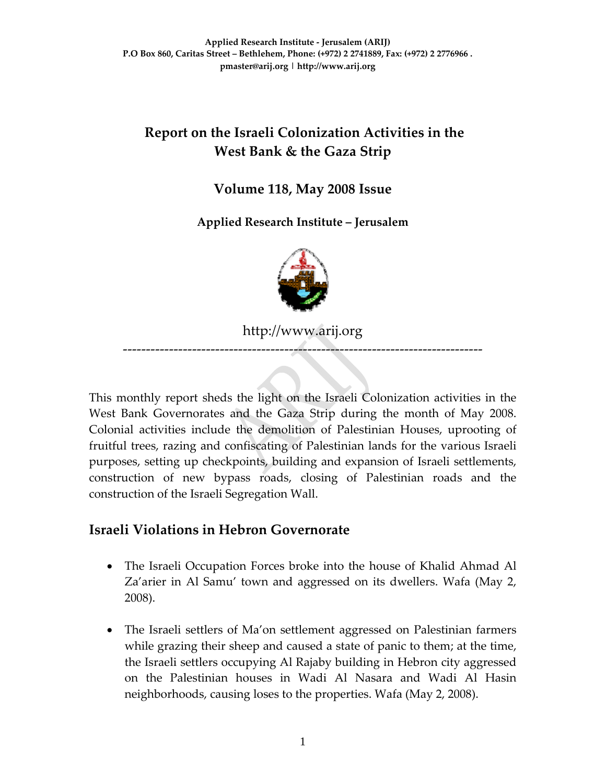# **Report on the Israeli Colonization Activities in the West Bank & the Gaza Strip**

### **Volume 118, May 2008 Issue**

**Applied Research Institute – Jerusalem** 



http://www.arij.org

‐‐‐‐‐‐‐‐‐‐‐‐‐‐‐‐‐‐‐‐‐‐‐‐‐‐‐‐‐‐‐‐‐‐‐‐‐‐‐‐‐‐‐‐‐‐‐‐‐‐‐‐‐‐‐‐‐‐‐‐‐‐‐‐‐‐‐‐‐‐‐‐‐‐‐‐‐‐

This monthly report sheds the light on the Israeli Colonization activities in the West Bank Governorates and the Gaza Strip during the month of May 2008. Colonial activities include the demolition of Palestinian Houses, uprooting of fruitful trees, razing and confiscating of Palestinian lands for the various Israeli purposes, setting up checkpoints, building and expansion of Israeli settlements, construction of new bypass roads, closing of Palestinian roads and the construction of the Israeli Segregation Wall.

# **Israeli Violations in Hebron Governorate**

- The Israeli Occupation Forces broke into the house of Khalid Ahmad Al Za'arier in Al Samu' town and aggressed on its dwellers. Wafa (May 2, 2008).
- The Israeli settlers of Ma'on settlement aggressed on Palestinian farmers while grazing their sheep and caused a state of panic to them; at the time, the Israeli settlers occupying Al Rajaby building in Hebron city aggressed on the Palestinian houses in Wadi Al Nasara and Wadi Al Hasin neighborhoods, causing loses to the properties. Wafa (May 2, 2008).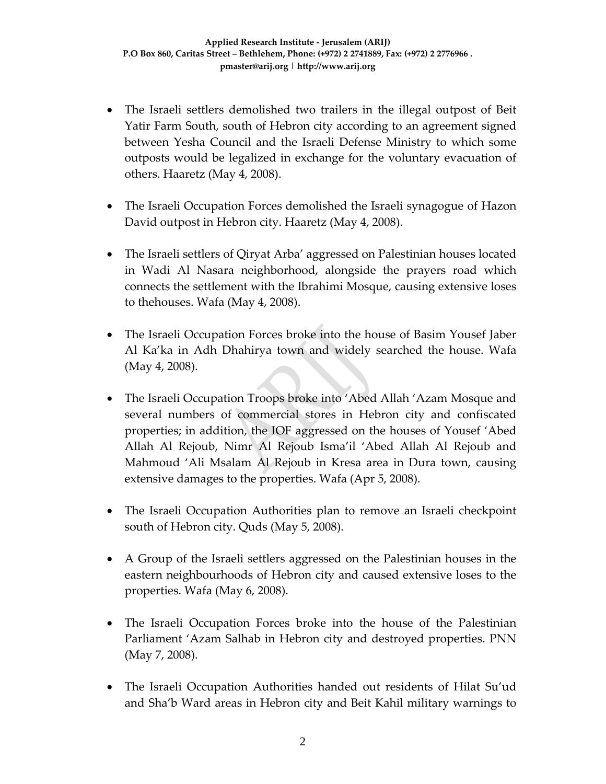- The Israeli settlers demolished two trailers in the illegal outpost of Beit Yatir Farm South, south of Hebron city according to an agreement signed between Yesha Council and the Israeli Defense Ministry to which some outposts would be legalized in exchange for the voluntary evacuation of others. Haaretz (May 4, 2008).
- The Israeli Occupation Forces demolished the Israeli synagogue of Hazon David outpost in Hebron city. Haaretz (May 4, 2008).
- The Israeli settlers of Qiryat Arba' aggressed on Palestinian houses located in Wadi Al Nasara neighborhood, alongside the prayers road which connects the settlement with the Ibrahimi Mosque, causing extensive loses to thehouses. Wafa (May 4, 2008).
- The Israeli Occupation Forces broke into the house of Basim Yousef Jaber Al Ka'ka in Adh Dhahirya town and widely searched the house. Wafa (May 4, 2008).
- The Israeli Occupation Troops broke into 'Abed Allah 'Azam Mosque and several numbers of commercial stores in Hebron city and confiscated properties; in addition, the IOF aggressed on the houses of Yousef 'Abed Allah Al Rejoub, Nimr Al Rejoub Isma'il 'Abed Allah Al Rejoub and Mahmoud 'Ali Msalam Al Rejoub in Kresa area in Dura town, causing extensive damages to the properties. Wafa (Apr 5, 2008).
- The Israeli Occupation Authorities plan to remove an Israeli checkpoint south of Hebron city. Quds (May 5, 2008).
- A Group of the Israeli settlers aggressed on the Palestinian houses in the eastern neighbourhoods of Hebron city and caused extensive loses to the properties. Wafa (May 6, 2008).
- The Israeli Occupation Forces broke into the house of the Palestinian Parliament 'Azam Salhab in Hebron city and destroyed properties. PNN (May 7, 2008).
- The Israeli Occupation Authorities handed out residents of Hilat Su'ud and Sha'b Ward areas in Hebron city and Beit Kahil military warnings to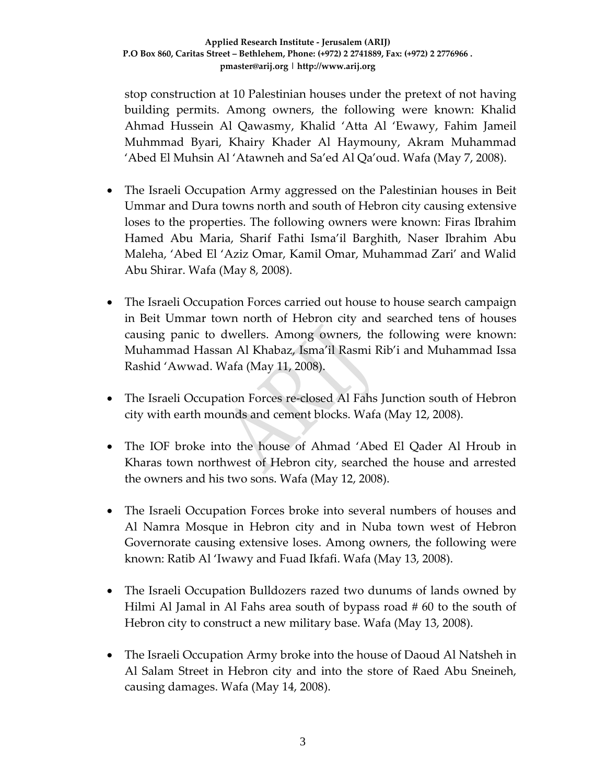stop construction at 10 Palestinian houses under the pretext of not having building permits. Among owners, the following were known: Khalid Ahmad Hussein Al Qawasmy, Khalid 'Atta Al 'Ewawy, Fahim Jameil Muhmmad Byari, Khairy Khader Al Haymouny, Akram Muhammad 'Abed El Muhsin Al 'Atawneh and Sa'ed Al Qa'oud. Wafa (May 7, 2008).

- The Israeli Occupation Army aggressed on the Palestinian houses in Beit Ummar and Dura towns north and south of Hebron city causing extensive loses to the properties. The following owners were known: Firas Ibrahim Hamed Abu Maria, Sharif Fathi Isma'il Barghith, Naser Ibrahim Abu Maleha, 'Abed El 'Aziz Omar, Kamil Omar, Muhammad Zari' and Walid Abu Shirar. Wafa (May 8, 2008).
- The Israeli Occupation Forces carried out house to house search campaign in Beit Ummar town north of Hebron city and searched tens of houses causing panic to dwellers. Among owners, the following were known: Muhammad Hassan Al Khabaz, Isma'il Rasmi Rib'i and Muhammad Issa Rashid 'Awwad. Wafa (May 11, 2008).
- The Israeli Occupation Forces re-closed Al Fahs Junction south of Hebron city with earth mounds and cement blocks. Wafa (May 12, 2008).
- The IOF broke into the house of Ahmad 'Abed El Qader Al Hroub in Kharas town northwest of Hebron city, searched the house and arrested the owners and his two sons. Wafa (May 12, 2008).
- The Israeli Occupation Forces broke into several numbers of houses and Al Namra Mosque in Hebron city and in Nuba town west of Hebron Governorate causing extensive loses. Among owners, the following were known: Ratib Al 'Iwawy and Fuad Ikfafi. Wafa (May 13, 2008).
- The Israeli Occupation Bulldozers razed two dunums of lands owned by Hilmi Al Jamal in Al Fahs area south of bypass road # 60 to the south of Hebron city to construct a new military base. Wafa (May 13, 2008).
- The Israeli Occupation Army broke into the house of Daoud Al Natsheh in Al Salam Street in Hebron city and into the store of Raed Abu Sneineh, causing damages. Wafa (May 14, 2008).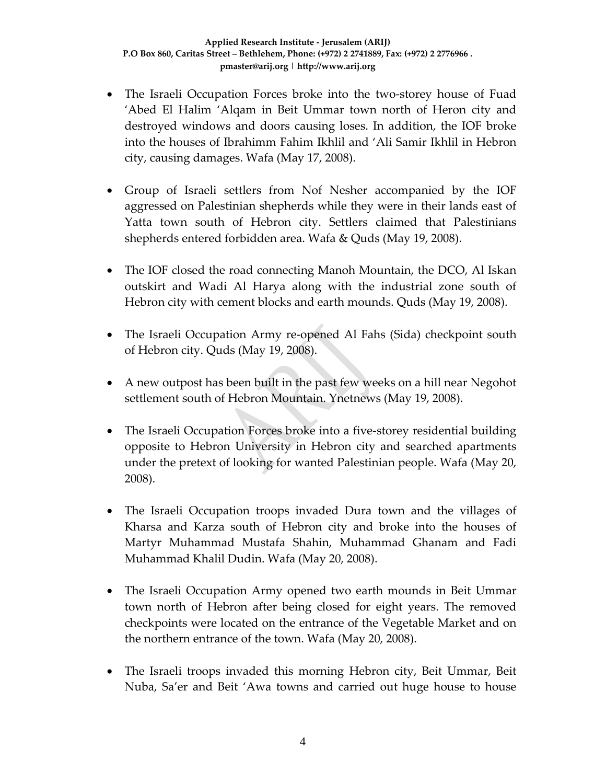- The Israeli Occupation Forces broke into the two-storey house of Fuad 'Abed El Halim 'Alqam in Beit Ummar town north of Heron city and destroyed windows and doors causing loses. In addition, the IOF broke into the houses of Ibrahimm Fahim Ikhlil and 'Ali Samir Ikhlil in Hebron city, causing damages. Wafa (May 17, 2008).
- Group of Israeli settlers from Nof Nesher accompanied by the IOF aggressed on Palestinian shepherds while they were in their lands east of Yatta town south of Hebron city. Settlers claimed that Palestinians shepherds entered forbidden area. Wafa & Quds (May 19, 2008).
- The IOF closed the road connecting Manoh Mountain, the DCO, Al Iskan outskirt and Wadi Al Harya along with the industrial zone south of Hebron city with cement blocks and earth mounds. Quds (May 19, 2008).
- The Israeli Occupation Army re-opened Al Fahs (Sida) checkpoint south of Hebron city. Quds (May 19, 2008).
- A new outpost has been built in the past few weeks on a hill near Negohot settlement south of Hebron Mountain. Ynetnews (May 19, 2008).
- The Israeli Occupation Forces broke into a five-storey residential building opposite to Hebron University in Hebron city and searched apartments under the pretext of looking for wanted Palestinian people. Wafa (May 20, 2008).
- The Israeli Occupation troops invaded Dura town and the villages of Kharsa and Karza south of Hebron city and broke into the houses of Martyr Muhammad Mustafa Shahin, Muhammad Ghanam and Fadi Muhammad Khalil Dudin. Wafa (May 20, 2008).
- The Israeli Occupation Army opened two earth mounds in Beit Ummar town north of Hebron after being closed for eight years. The removed checkpoints were located on the entrance of the Vegetable Market and on the northern entrance of the town. Wafa (May 20, 2008).
- The Israeli troops invaded this morning Hebron city, Beit Ummar, Beit Nuba, Sa'er and Beit 'Awa towns and carried out huge house to house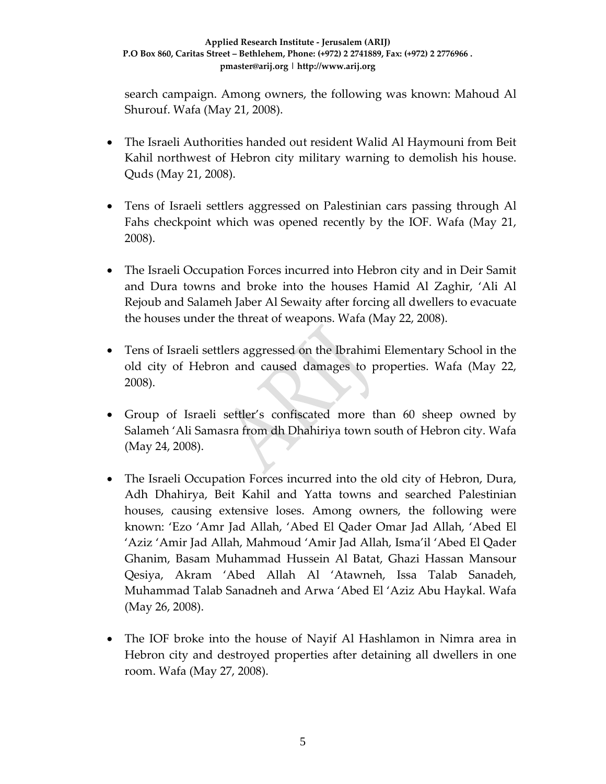search campaign. Among owners, the following was known: Mahoud Al Shurouf. Wafa (May 21, 2008).

- The Israeli Authorities handed out resident Walid Al Haymouni from Beit Kahil northwest of Hebron city military warning to demolish his house. Quds (May 21, 2008).
- Tens of Israeli settlers aggressed on Palestinian cars passing through Al Fahs checkpoint which was opened recently by the IOF. Wafa (May 21, 2008).
- The Israeli Occupation Forces incurred into Hebron city and in Deir Samit and Dura towns and broke into the houses Hamid Al Zaghir, 'Ali Al Rejoub and Salameh Jaber Al Sewaity after forcing all dwellers to evacuate the houses under the threat of weapons. Wafa (May 22, 2008).
- Tens of Israeli settlers aggressed on the Ibrahimi Elementary School in the old city of Hebron and caused damages to properties. Wafa (May 22, 2008).
- Group of Israeli settler's confiscated more than 60 sheep owned by Salameh 'Ali Samasra from dh Dhahiriya town south of Hebron city. Wafa (May 24, 2008).
- The Israeli Occupation Forces incurred into the old city of Hebron, Dura, Adh Dhahirya, Beit Kahil and Yatta towns and searched Palestinian houses, causing extensive loses. Among owners, the following were known: 'Ezo 'Amr Jad Allah, 'Abed El Qader Omar Jad Allah, 'Abed El 'Aziz 'Amir Jad Allah, Mahmoud 'Amir Jad Allah, Isma'il 'Abed El Qader Ghanim, Basam Muhammad Hussein Al Batat, Ghazi Hassan Mansour Qesiya, Akram 'Abed Allah Al 'Atawneh, Issa Talab Sanadeh, Muhammad Talab Sanadneh and Arwa 'Abed El 'Aziz Abu Haykal. Wafa (May 26, 2008).
- The IOF broke into the house of Nayif Al Hashlamon in Nimra area in Hebron city and destroyed properties after detaining all dwellers in one room. Wafa (May 27, 2008).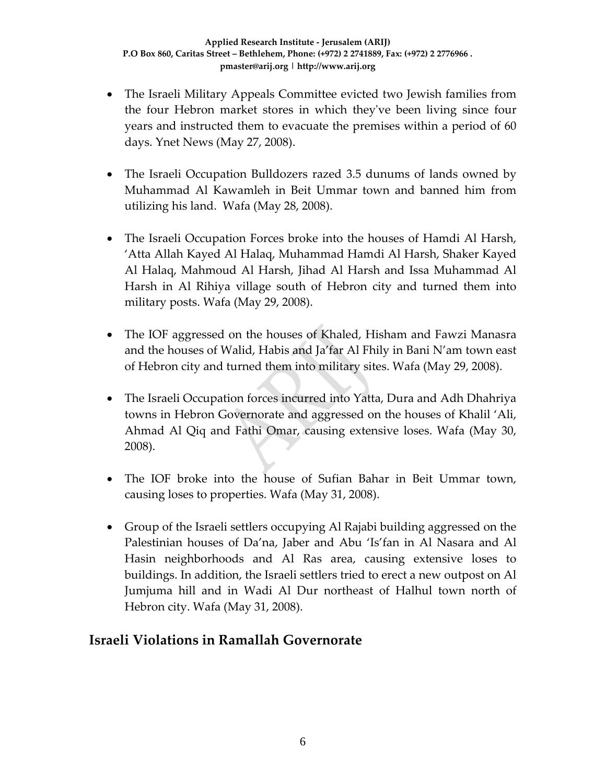- The Israeli Military Appeals Committee evicted two Jewish families from the four Hebron market stores in which theyʹve been living since four years and instructed them to evacuate the premises within a period of 60 days. Ynet News (May 27, 2008).
- The Israeli Occupation Bulldozers razed 3.5 dunums of lands owned by Muhammad Al Kawamleh in Beit Ummar town and banned him from utilizing his land. Wafa (May 28, 2008).
- The Israeli Occupation Forces broke into the houses of Hamdi Al Harsh, 'Atta Allah Kayed Al Halaq, Muhammad Hamdi Al Harsh, Shaker Kayed Al Halaq, Mahmoud Al Harsh, Jihad Al Harsh and Issa Muhammad Al Harsh in Al Rihiya village south of Hebron city and turned them into military posts. Wafa (May 29, 2008).
- The IOF aggressed on the houses of Khaled, Hisham and Fawzi Manasra and the houses of Walid, Habis and Ja'far Al Fhily in Bani N'am town east of Hebron city and turned them into military sites. Wafa (May 29, 2008).
- The Israeli Occupation forces incurred into Yatta, Dura and Adh Dhahriya towns in Hebron Governorate and aggressed on the houses of Khalil 'Ali, Ahmad Al Qiq and Fathi Omar, causing extensive loses. Wafa (May 30, 2008).
- The IOF broke into the house of Sufian Bahar in Beit Ummar town, causing loses to properties. Wafa (May 31, 2008).
- Group of the Israeli settlers occupying Al Rajabi building aggressed on the Palestinian houses of Da'na, Jaber and Abu 'Is'fan in Al Nasara and Al Hasin neighborhoods and Al Ras area, causing extensive loses to buildings. In addition, the Israeli settlers tried to erect a new outpost on Al Jumjuma hill and in Wadi Al Dur northeast of Halhul town north of Hebron city. Wafa (May 31, 2008).

#### **Israeli Violations in Ramallah Governorate**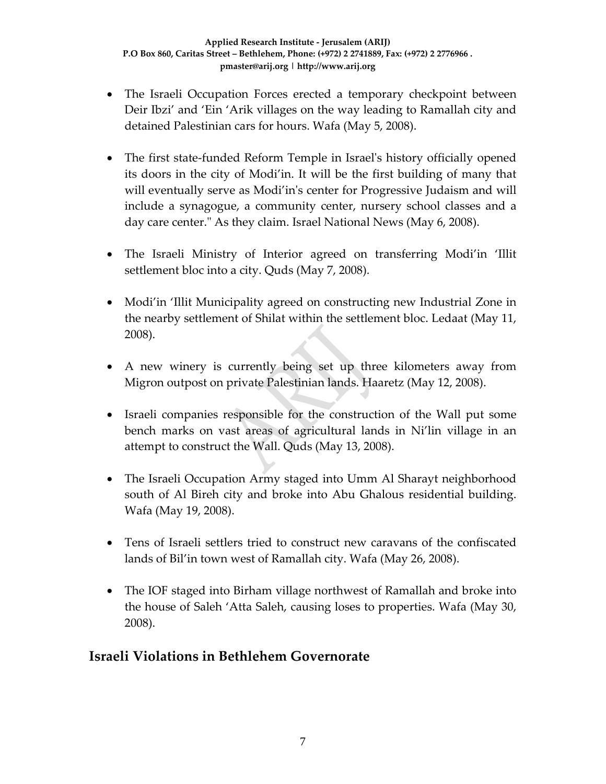- The Israeli Occupation Forces erected a temporary checkpoint between Deir Ibzi' and 'Ein 'Arik villages on the way leading to Ramallah city and detained Palestinian cars for hours. Wafa (May 5, 2008).
- The first state-funded Reform Temple in Israel's history officially opened its doors in the city of Modi'in. It will be the first building of many that will eventually serve as Modi'in's center for Progressive Judaism and will include a synagogue, a community center, nursery school classes and a day care center." As they claim. Israel National News (May 6, 2008).
- The Israeli Ministry of Interior agreed on transferring Modi'in 'Illit settlement bloc into a city. Quds (May 7, 2008).
- Modi'in 'Illit Municipality agreed on constructing new Industrial Zone in the nearby settlement of Shilat within the settlement bloc. Ledaat (May 11, 2008).
- A new winery is currently being set up three kilometers away from Migron outpost on private Palestinian lands. Haaretz (May 12, 2008).
- Israeli companies responsible for the construction of the Wall put some bench marks on vast areas of agricultural lands in Ni'lin village in an attempt to construct the Wall. Quds (May 13, 2008).
- The Israeli Occupation Army staged into Umm Al Sharayt neighborhood south of Al Bireh city and broke into Abu Ghalous residential building. Wafa (May 19, 2008).
- Tens of Israeli settlers tried to construct new caravans of the confiscated lands of Bil'in town west of Ramallah city. Wafa (May 26, 2008).
- The IOF staged into Birham village northwest of Ramallah and broke into the house of Saleh 'Atta Saleh, causing loses to properties. Wafa (May 30, 2008).

#### **Israeli Violations in Bethlehem Governorate**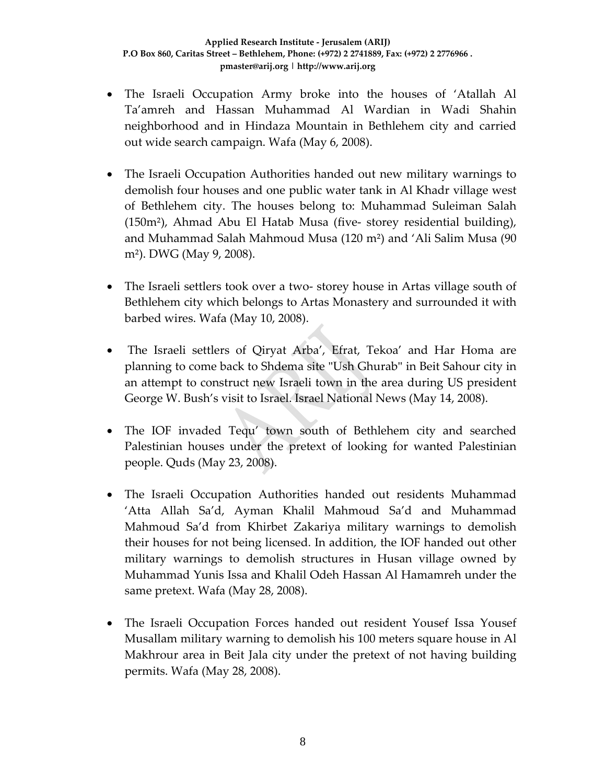- The Israeli Occupation Army broke into the houses of 'Atallah Al Ta'amreh and Hassan Muhammad Al Wardian in Wadi Shahin neighborhood and in Hindaza Mountain in Bethlehem city and carried out wide search campaign. Wafa (May 6, 2008).
- The Israeli Occupation Authorities handed out new military warnings to demolish four houses and one public water tank in Al Khadr village west of Bethlehem city. The houses belong to: Muhammad Suleiman Salah (150m²), Ahmad Abu El Hatab Musa (five‐ storey residential building), and Muhammad Salah Mahmoud Musa (120 m²) and 'Ali Salim Musa (90 m²). DWG (May 9, 2008).
- The Israeli settlers took over a two-storey house in Artas village south of Bethlehem city which belongs to Artas Monastery and surrounded it with barbed wires. Wafa (May 10, 2008).
- The Israeli settlers of Qiryat Arba', Efrat, Tekoa' and Har Homa are planning to come back to Shdema site "Ush Ghurab" in Beit Sahour city in an attempt to construct new Israeli town in the area during US president George W. Bush's visit to Israel. Israel National News (May 14, 2008).
- The IOF invaded Tequ' town south of Bethlehem city and searched Palestinian houses under the pretext of looking for wanted Palestinian people. Quds (May 23, 2008).
- The Israeli Occupation Authorities handed out residents Muhammad 'Atta Allah Sa'd, Ayman Khalil Mahmoud Sa'd and Muhammad Mahmoud Sa'd from Khirbet Zakariya military warnings to demolish their houses for not being licensed. In addition, the IOF handed out other military warnings to demolish structures in Husan village owned by Muhammad Yunis Issa and Khalil Odeh Hassan Al Hamamreh under the same pretext. Wafa (May 28, 2008).
- The Israeli Occupation Forces handed out resident Yousef Issa Yousef Musallam military warning to demolish his 100 meters square house in Al Makhrour area in Beit Jala city under the pretext of not having building permits. Wafa (May 28, 2008).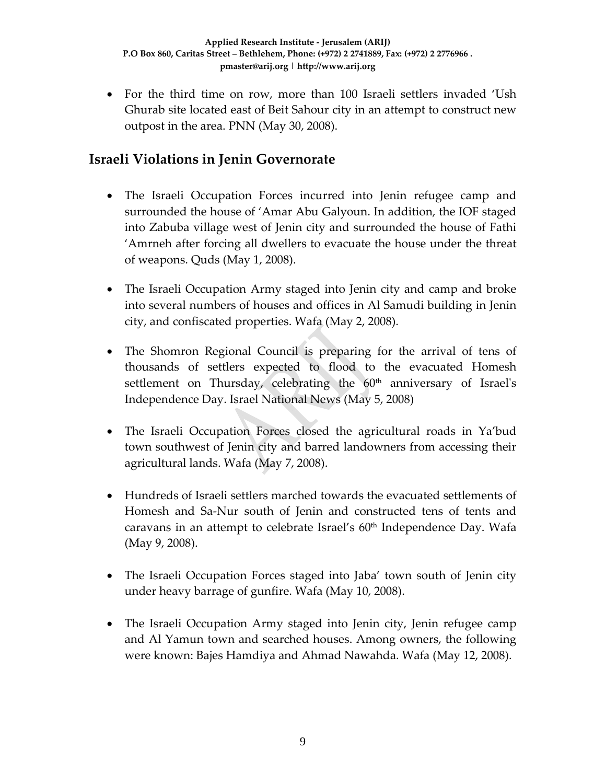• For the third time on row, more than 100 Israeli settlers invaded 'Ush Ghurab site located east of Beit Sahour city in an attempt to construct new outpost in the area. PNN (May 30, 2008).

## **Israeli Violations in Jenin Governorate**

- The Israeli Occupation Forces incurred into Jenin refugee camp and surrounded the house of 'Amar Abu Galyoun. In addition, the IOF staged into Zabuba village west of Jenin city and surrounded the house of Fathi 'Amrneh after forcing all dwellers to evacuate the house under the threat of weapons. Quds (May 1, 2008).
- The Israeli Occupation Army staged into Jenin city and camp and broke into several numbers of houses and offices in Al Samudi building in Jenin city, and confiscated properties. Wafa (May 2, 2008).
- The Shomron Regional Council is preparing for the arrival of tens of thousands of settlers expected to flood to the evacuated Homesh settlement on Thursday, celebrating the  $60<sup>th</sup>$  anniversary of Israel's Independence Day. Israel National News (May 5, 2008)
- The Israeli Occupation Forces closed the agricultural roads in Ya'bud town southwest of Jenin city and barred landowners from accessing their agricultural lands. Wafa (May 7, 2008).
- Hundreds of Israeli settlers marched towards the evacuated settlements of Homesh and Sa‐Nur south of Jenin and constructed tens of tents and caravans in an attempt to celebrate Israel's  $60<sup>th</sup>$  Independence Day. Wafa (May 9, 2008).
- The Israeli Occupation Forces staged into Jaba' town south of Jenin city under heavy barrage of gunfire. Wafa (May 10, 2008).
- The Israeli Occupation Army staged into Jenin city, Jenin refugee camp and Al Yamun town and searched houses. Among owners, the following were known: Bajes Hamdiya and Ahmad Nawahda. Wafa (May 12, 2008).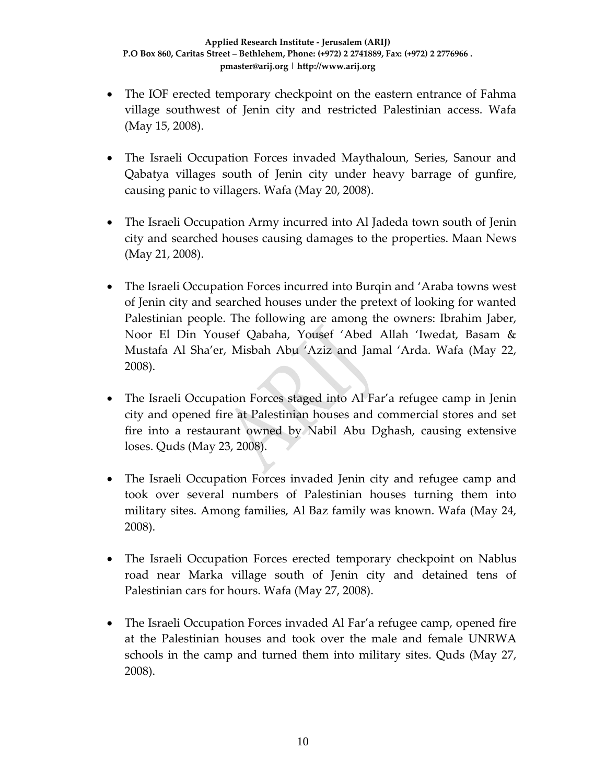- The IOF erected temporary checkpoint on the eastern entrance of Fahma village southwest of Jenin city and restricted Palestinian access. Wafa (May 15, 2008).
- The Israeli Occupation Forces invaded Maythaloun, Series, Sanour and Qabatya villages south of Jenin city under heavy barrage of gunfire, causing panic to villagers. Wafa (May 20, 2008).
- The Israeli Occupation Army incurred into Al Jadeda town south of Jenin city and searched houses causing damages to the properties. Maan News (May 21, 2008).
- The Israeli Occupation Forces incurred into Burqin and 'Araba towns west of Jenin city and searched houses under the pretext of looking for wanted Palestinian people. The following are among the owners: Ibrahim Jaber, Noor El Din Yousef Qabaha, Yousef 'Abed Allah 'Iwedat, Basam & Mustafa Al Sha'er, Misbah Abu 'Aziz and Jamal 'Arda. Wafa (May 22, 2008).
- The Israeli Occupation Forces staged into Al Far'a refugee camp in Jenin city and opened fire at Palestinian houses and commercial stores and set fire into a restaurant owned by Nabil Abu Dghash, causing extensive loses. Quds (May 23, 2008).
- The Israeli Occupation Forces invaded Jenin city and refugee camp and took over several numbers of Palestinian houses turning them into military sites. Among families, Al Baz family was known. Wafa (May 24, 2008).
- The Israeli Occupation Forces erected temporary checkpoint on Nablus road near Marka village south of Jenin city and detained tens of Palestinian cars for hours. Wafa (May 27, 2008).
- The Israeli Occupation Forces invaded Al Far'a refugee camp, opened fire at the Palestinian houses and took over the male and female UNRWA schools in the camp and turned them into military sites. Quds (May 27, 2008).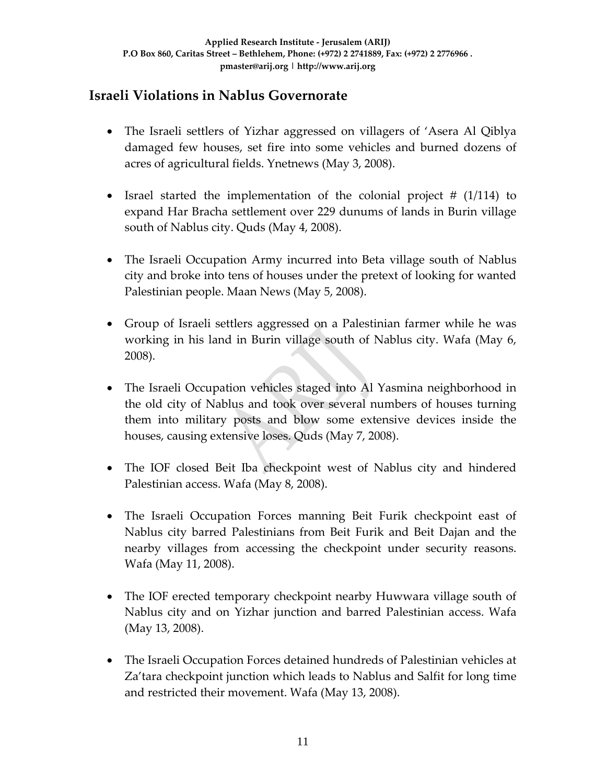## **Israeli Violations in Nablus Governorate**

- The Israeli settlers of Yizhar aggressed on villagers of 'Asera Al Qiblya damaged few houses, set fire into some vehicles and burned dozens of acres of agricultural fields. Ynetnews (May 3, 2008).
- Israel started the implementation of the colonial project # (1/114) to expand Har Bracha settlement over 229 dunums of lands in Burin village south of Nablus city. Quds (May 4, 2008).
- The Israeli Occupation Army incurred into Beta village south of Nablus city and broke into tens of houses under the pretext of looking for wanted Palestinian people. Maan News (May 5, 2008).
- Group of Israeli settlers aggressed on a Palestinian farmer while he was working in his land in Burin village south of Nablus city. Wafa (May 6, 2008).
- The Israeli Occupation vehicles staged into Al Yasmina neighborhood in the old city of Nablus and took over several numbers of houses turning them into military posts and blow some extensive devices inside the houses, causing extensive loses. Quds (May 7, 2008).
- The IOF closed Beit Iba checkpoint west of Nablus city and hindered Palestinian access. Wafa (May 8, 2008).
- The Israeli Occupation Forces manning Beit Furik checkpoint east of Nablus city barred Palestinians from Beit Furik and Beit Dajan and the nearby villages from accessing the checkpoint under security reasons. Wafa (May 11, 2008).
- The IOF erected temporary checkpoint nearby Huwwara village south of Nablus city and on Yizhar junction and barred Palestinian access. Wafa (May 13, 2008).
- The Israeli Occupation Forces detained hundreds of Palestinian vehicles at Za'tara checkpoint junction which leads to Nablus and Salfit for long time and restricted their movement. Wafa (May 13, 2008).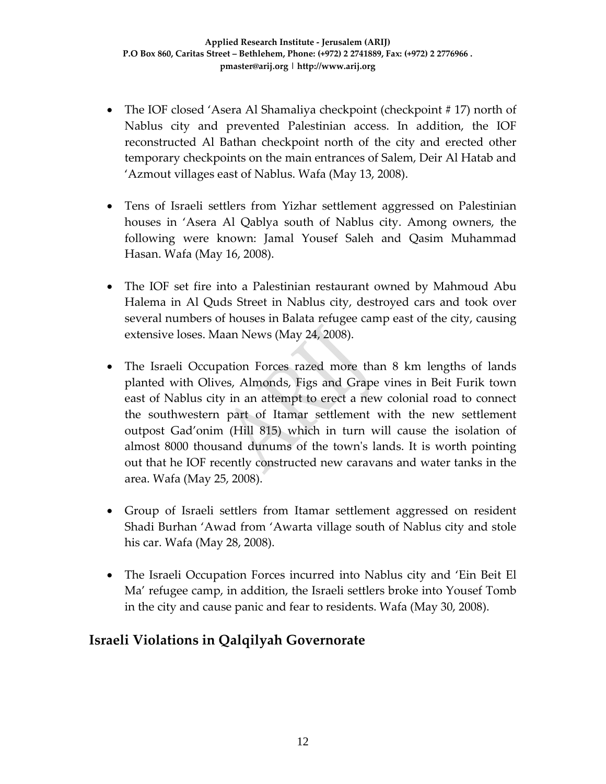- The IOF closed 'Asera Al Shamaliya checkpoint (checkpoint #17) north of Nablus city and prevented Palestinian access. In addition, the IOF reconstructed Al Bathan checkpoint north of the city and erected other temporary checkpoints on the main entrances of Salem, Deir Al Hatab and 'Azmout villages east of Nablus. Wafa (May 13, 2008).
- Tens of Israeli settlers from Yizhar settlement aggressed on Palestinian houses in 'Asera Al Qablya south of Nablus city. Among owners, the following were known: Jamal Yousef Saleh and Qasim Muhammad Hasan. Wafa (May 16, 2008).
- The IOF set fire into a Palestinian restaurant owned by Mahmoud Abu Halema in Al Quds Street in Nablus city, destroyed cars and took over several numbers of houses in Balata refugee camp east of the city, causing extensive loses. Maan News (May 24, 2008).
- The Israeli Occupation Forces razed more than 8 km lengths of lands planted with Olives, Almonds, Figs and Grape vines in Beit Furik town east of Nablus city in an attempt to erect a new colonial road to connect the southwestern part of Itamar settlement with the new settlement outpost Gad'onim (Hill 815) which in turn will cause the isolation of almost 8000 thousand dunums of the townʹs lands. It is worth pointing out that he IOF recently constructed new caravans and water tanks in the area. Wafa (May 25, 2008).
- Group of Israeli settlers from Itamar settlement aggressed on resident Shadi Burhan 'Awad from 'Awarta village south of Nablus city and stole his car. Wafa (May 28, 2008).
- The Israeli Occupation Forces incurred into Nablus city and 'Ein Beit El Ma' refugee camp, in addition, the Israeli settlers broke into Yousef Tomb in the city and cause panic and fear to residents. Wafa (May 30, 2008).

### **Israeli Violations in Qalqilyah Governorate**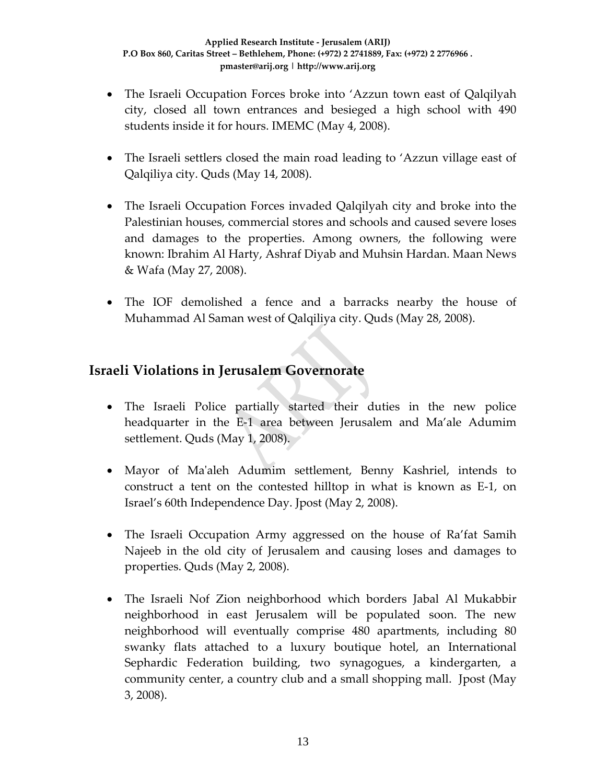- The Israeli Occupation Forces broke into 'Azzun town east of Qalqilyah city, closed all town entrances and besieged a high school with 490 students inside it for hours. IMEMC (May 4, 2008).
- The Israeli settlers closed the main road leading to 'Azzun village east of Qalqiliya city. Quds (May 14, 2008).
- The Israeli Occupation Forces invaded Qalqilyah city and broke into the Palestinian houses, commercial stores and schools and caused severe loses and damages to the properties. Among owners, the following were known: Ibrahim Al Harty, Ashraf Diyab and Muhsin Hardan. Maan News & Wafa (May 27, 2008).
- The IOF demolished a fence and a barracks nearby the house of Muhammad Al Saman west of Qalqiliya city. Quds (May 28, 2008).

#### **Israeli Violations in Jerusalem Governorate**

- The Israeli Police partially started their duties in the new police headquarter in the E-1 area between Jerusalem and Ma'ale Adumim settlement. Quds (May 1, 2008).
- Mayor of Maʹaleh Adumim settlement, Benny Kashriel, intends to construct a tent on the contested hilltop in what is known as E‐1, on Israel's 60th Independence Day. Jpost (May 2, 2008).
- The Israeli Occupation Army aggressed on the house of Ra'fat Samih Najeeb in the old city of Jerusalem and causing loses and damages to properties. Quds (May 2, 2008).
- The Israeli Nof Zion neighborhood which borders Jabal Al Mukabbir neighborhood in east Jerusalem will be populated soon. The new neighborhood will eventually comprise 480 apartments, including 80 swanky flats attached to a luxury boutique hotel, an International Sephardic Federation building, two synagogues, a kindergarten, a community center, a country club and a small shopping mall. Jpost (May 3, 2008).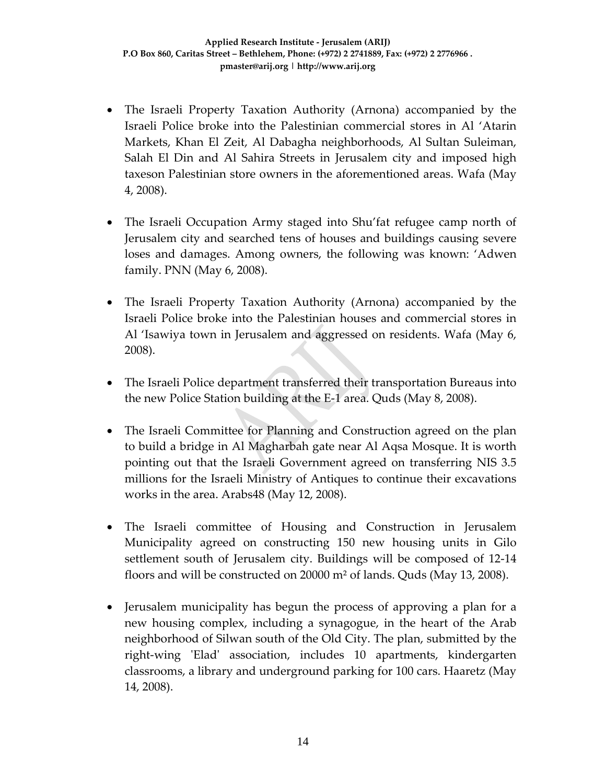- The Israeli Property Taxation Authority (Arnona) accompanied by the Israeli Police broke into the Palestinian commercial stores in Al 'Atarin Markets, Khan El Zeit, Al Dabagha neighborhoods, Al Sultan Suleiman, Salah El Din and Al Sahira Streets in Jerusalem city and imposed high taxeson Palestinian store owners in the aforementioned areas. Wafa (May 4, 2008).
- The Israeli Occupation Army staged into Shu'fat refugee camp north of Jerusalem city and searched tens of houses and buildings causing severe loses and damages. Among owners, the following was known: 'Adwen family. PNN (May 6, 2008).
- The Israeli Property Taxation Authority (Arnona) accompanied by the Israeli Police broke into the Palestinian houses and commercial stores in Al 'Isawiya town in Jerusalem and aggressed on residents. Wafa (May 6, 2008).
- The Israeli Police department transferred their transportation Bureaus into the new Police Station building at the E‐1 area. Quds (May 8, 2008).
- The Israeli Committee for Planning and Construction agreed on the plan to build a bridge in Al Magharbah gate near Al Aqsa Mosque. It is worth pointing out that the Israeli Government agreed on transferring NIS 3.5 millions for the Israeli Ministry of Antiques to continue their excavations works in the area. Arabs48 (May 12, 2008).
- The Israeli committee of Housing and Construction in Jerusalem Municipality agreed on constructing 150 new housing units in Gilo settlement south of Jerusalem city. Buildings will be composed of 12‐14 floors and will be constructed on 20000 m² of lands. Quds (May 13, 2008).
- Jerusalem municipality has begun the process of approving a plan for a new housing complex, including a synagogue, in the heart of the Arab neighborhood of Silwan south of the Old City. The plan, submitted by the right‐wing ʹEladʹ association, includes 10 apartments, kindergarten classrooms, a library and underground parking for 100 cars. Haaretz (May 14, 2008).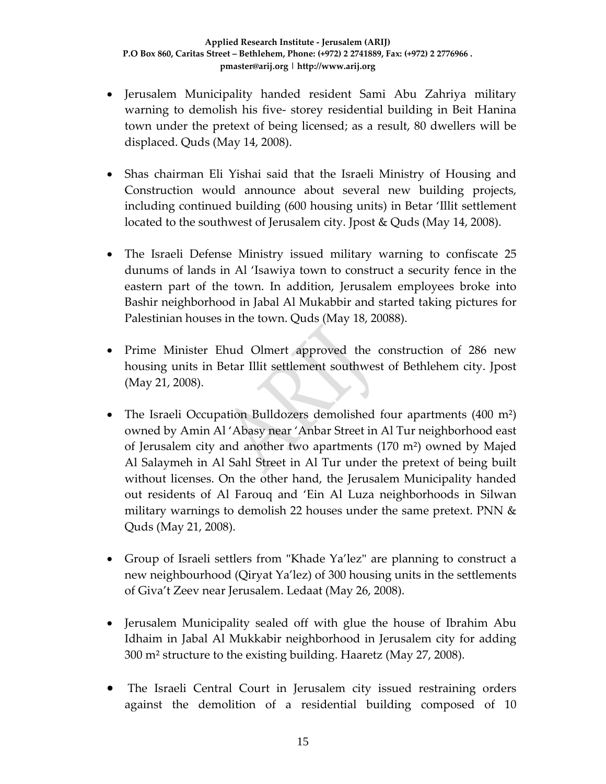- Jerusalem Municipality handed resident Sami Abu Zahriya military warning to demolish his five-storey residential building in Beit Hanina town under the pretext of being licensed; as a result, 80 dwellers will be displaced. Quds (May 14, 2008).
- Shas chairman Eli Yishai said that the Israeli Ministry of Housing and Construction would announce about several new building projects, including continued building (600 housing units) in Betar 'Illit settlement located to the southwest of Jerusalem city. Jpost & Quds (May 14, 2008).
- The Israeli Defense Ministry issued military warning to confiscate 25 dunums of lands in Al 'Isawiya town to construct a security fence in the eastern part of the town. In addition, Jerusalem employees broke into Bashir neighborhood in Jabal Al Mukabbir and started taking pictures for Palestinian houses in the town. Quds (May 18, 20088).
- Prime Minister Ehud Olmert approved the construction of 286 new housing units in Betar Illit settlement southwest of Bethlehem city. Jpost (May 21, 2008).
- The Israeli Occupation Bulldozers demolished four apartments (400 m<sup>2</sup>) owned by Amin Al 'Abasy near 'Anbar Street in Al Tur neighborhood east of Jerusalem city and another two apartments (170 m²) owned by Majed Al Salaymeh in Al Sahl Street in Al Tur under the pretext of being built without licenses. On the other hand, the Jerusalem Municipality handed out residents of Al Farouq and 'Ein Al Luza neighborhoods in Silwan military warnings to demolish 22 houses under the same pretext. PNN & Quds (May 21, 2008).
- Group of Israeli settlers from "Khade Ya'lez" are planning to construct a new neighbourhood (Qiryat Ya'lez) of 300 housing units in the settlements of Giva't Zeev near Jerusalem. Ledaat (May 26, 2008).
- Jerusalem Municipality sealed off with glue the house of Ibrahim Abu Idhaim in Jabal Al Mukkabir neighborhood in Jerusalem city for adding 300 m² structure to the existing building. Haaretz (May 27, 2008).
- The Israeli Central Court in Jerusalem city issued restraining orders against the demolition of a residential building composed of 10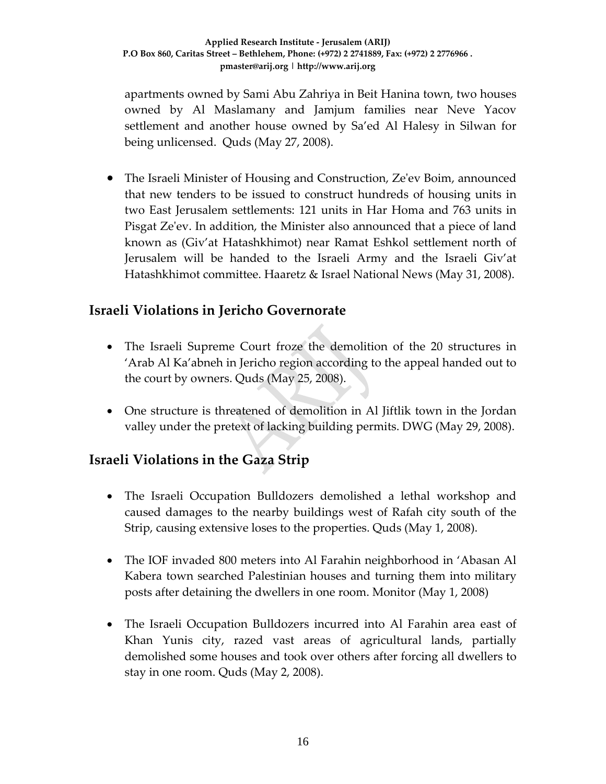apartments owned by Sami Abu Zahriya in Beit Hanina town, two houses owned by Al Maslamany and Jamjum families near Neve Yacov settlement and another house owned by Sa'ed Al Halesy in Silwan for being unlicensed. Quds (May 27, 2008).

• The Israeli Minister of Housing and Construction, Ze'ev Boim, announced that new tenders to be issued to construct hundreds of housing units in two East Jerusalem settlements: 121 units in Har Homa and 763 units in Pisgat Zeʹev. In addition, the Minister also announced that a piece of land known as (Giv'at Hatashkhimot) near Ramat Eshkol settlement north of Jerusalem will be handed to the Israeli Army and the Israeli Giv'at Hatashkhimot committee. Haaretz & Israel National News (May 31, 2008).

### **Israeli Violations in Jericho Governorate**

- The Israeli Supreme Court froze the demolition of the 20 structures in 'Arab Al Ka'abneh in Jericho region according to the appeal handed out to the court by owners. Quds (May 25, 2008).
- One structure is threatened of demolition in Al Jiftlik town in the Jordan valley under the pretext of lacking building permits. DWG (May 29, 2008).

### **Israeli Violations in the Gaza Strip**

- The Israeli Occupation Bulldozers demolished a lethal workshop and caused damages to the nearby buildings west of Rafah city south of the Strip, causing extensive loses to the properties. Quds (May 1, 2008).
- The IOF invaded 800 meters into Al Farahin neighborhood in 'Abasan Al Kabera town searched Palestinian houses and turning them into military posts after detaining the dwellers in one room. Monitor (May 1, 2008)
- The Israeli Occupation Bulldozers incurred into Al Farahin area east of Khan Yunis city, razed vast areas of agricultural lands, partially demolished some houses and took over others after forcing all dwellers to stay in one room. Quds (May 2, 2008).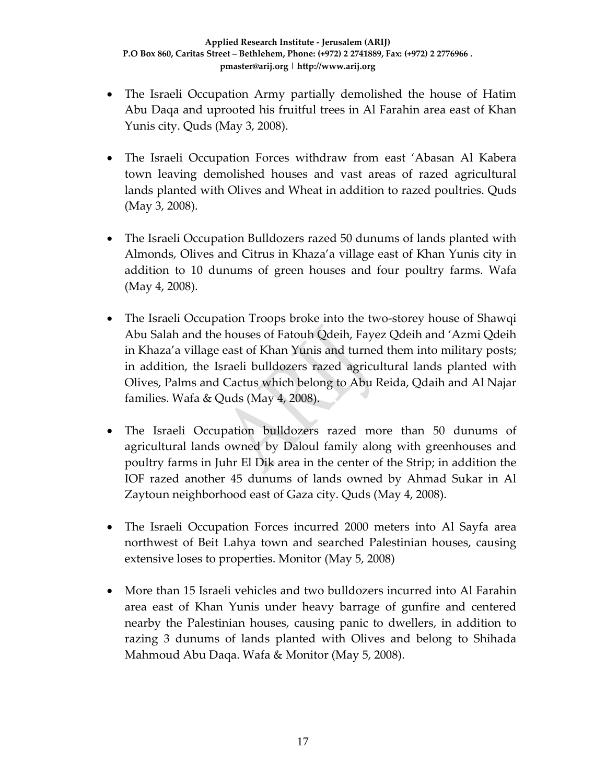- The Israeli Occupation Army partially demolished the house of Hatim Abu Daqa and uprooted his fruitful trees in Al Farahin area east of Khan Yunis city. Quds (May 3, 2008).
- The Israeli Occupation Forces withdraw from east 'Abasan Al Kabera town leaving demolished houses and vast areas of razed agricultural lands planted with Olives and Wheat in addition to razed poultries. Quds (May 3, 2008).
- The Israeli Occupation Bulldozers razed 50 dunums of lands planted with Almonds, Olives and Citrus in Khaza'a village east of Khan Yunis city in addition to 10 dunums of green houses and four poultry farms. Wafa (May 4, 2008).
- The Israeli Occupation Troops broke into the two-storey house of Shawqi Abu Salah and the houses of Fatouh Qdeih, Fayez Qdeih and 'Azmi Qdeih in Khaza'a village east of Khan Yunis and turned them into military posts; in addition, the Israeli bulldozers razed agricultural lands planted with Olives, Palms and Cactus which belong to Abu Reida, Qdaih and Al Najar families. Wafa & Quds (May 4, 2008).
- The Israeli Occupation bulldozers razed more than 50 dunums of agricultural lands owned by Daloul family along with greenhouses and poultry farms in Juhr El Dik area in the center of the Strip; in addition the IOF razed another 45 dunums of lands owned by Ahmad Sukar in Al Zaytoun neighborhood east of Gaza city. Quds (May 4, 2008).
- The Israeli Occupation Forces incurred 2000 meters into Al Sayfa area northwest of Beit Lahya town and searched Palestinian houses, causing extensive loses to properties. Monitor (May 5, 2008)
- More than 15 Israeli vehicles and two bulldozers incurred into Al Farahin area east of Khan Yunis under heavy barrage of gunfire and centered nearby the Palestinian houses, causing panic to dwellers, in addition to razing 3 dunums of lands planted with Olives and belong to Shihada Mahmoud Abu Daqa. Wafa & Monitor (May 5, 2008).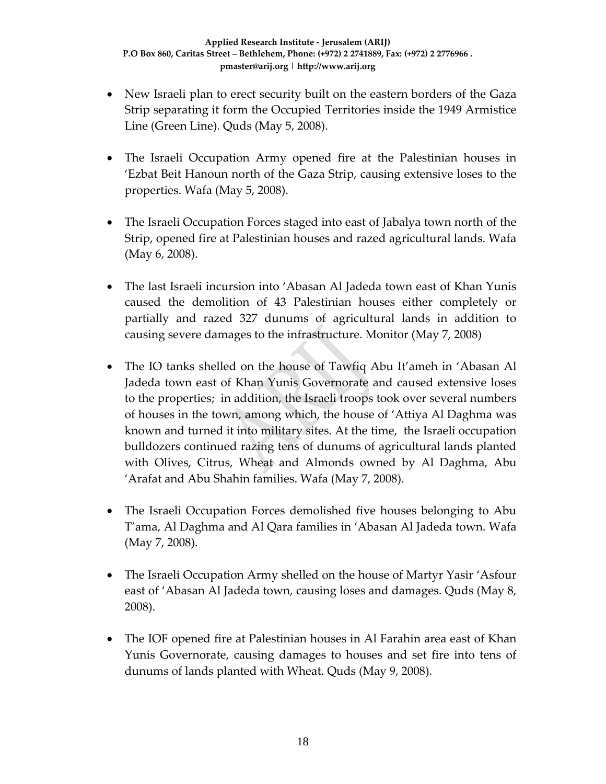- New Israeli plan to erect security built on the eastern borders of the Gaza Strip separating it form the Occupied Territories inside the 1949 Armistice Line (Green Line). Quds (May 5, 2008).
- The Israeli Occupation Army opened fire at the Palestinian houses in 'Ezbat Beit Hanoun north of the Gaza Strip, causing extensive loses to the properties. Wafa (May 5, 2008).
- The Israeli Occupation Forces staged into east of Jabalya town north of the Strip, opened fire at Palestinian houses and razed agricultural lands. Wafa (May 6, 2008).
- The last Israeli incursion into 'Abasan Al Jadeda town east of Khan Yunis caused the demolition of 43 Palestinian houses either completely or partially and razed 327 dunums of agricultural lands in addition to causing severe damages to the infrastructure. Monitor (May 7, 2008)
- The IO tanks shelled on the house of Tawfiq Abu It'ameh in 'Abasan Al Jadeda town east of Khan Yunis Governorate and caused extensive loses to the properties; in addition, the Israeli troops took over several numbers of houses in the town, among which, the house of 'Attiya Al Daghma was known and turned it into military sites. At the time, the Israeli occupation bulldozers continued razing tens of dunums of agricultural lands planted with Olives, Citrus, Wheat and Almonds owned by Al Daghma, Abu 'Arafat and Abu Shahin families. Wafa (May 7, 2008).
- The Israeli Occupation Forces demolished five houses belonging to Abu T'ama, Al Daghma and Al Qara families in 'Abasan Al Jadeda town. Wafa (May 7, 2008).
- The Israeli Occupation Army shelled on the house of Martyr Yasir 'Asfour east of 'Abasan Al Jadeda town, causing loses and damages. Quds (May 8, 2008).
- The IOF opened fire at Palestinian houses in Al Farahin area east of Khan Yunis Governorate, causing damages to houses and set fire into tens of dunums of lands planted with Wheat. Quds (May 9, 2008).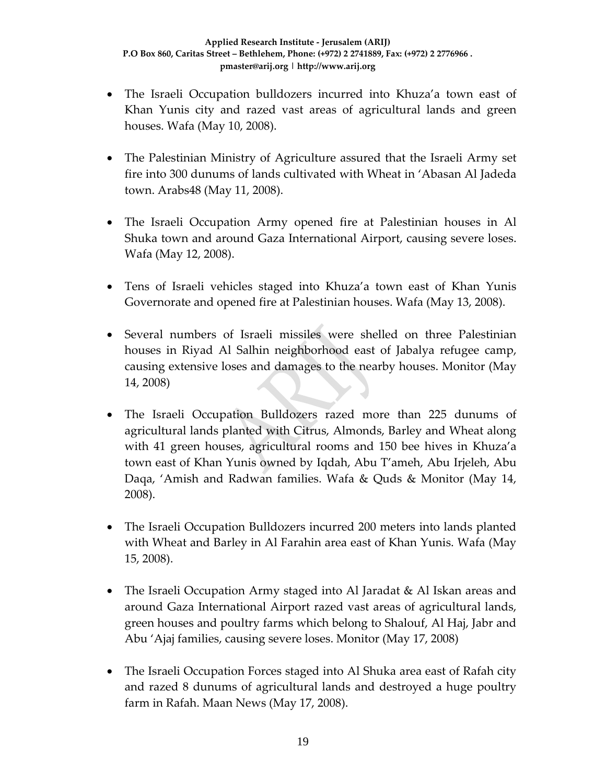- The Israeli Occupation bulldozers incurred into Khuza'a town east of Khan Yunis city and razed vast areas of agricultural lands and green houses. Wafa (May 10, 2008).
- The Palestinian Ministry of Agriculture assured that the Israeli Army set fire into 300 dunums of lands cultivated with Wheat in 'Abasan Al Jadeda town. Arabs48 (May 11, 2008).
- The Israeli Occupation Army opened fire at Palestinian houses in Al Shuka town and around Gaza International Airport, causing severe loses. Wafa (May 12, 2008).
- Tens of Israeli vehicles staged into Khuza'a town east of Khan Yunis Governorate and opened fire at Palestinian houses. Wafa (May 13, 2008).
- Several numbers of Israeli missiles were shelled on three Palestinian houses in Riyad Al Salhin neighborhood east of Jabalya refugee camp, causing extensive loses and damages to the nearby houses. Monitor (May 14, 2008)
- The Israeli Occupation Bulldozers razed more than 225 dunums of agricultural lands planted with Citrus, Almonds, Barley and Wheat along with 41 green houses, agricultural rooms and 150 bee hives in Khuza'a town east of Khan Yunis owned by Iqdah, Abu T'ameh, Abu Irjeleh, Abu Daqa, 'Amish and Radwan families. Wafa & Quds & Monitor (May 14, 2008).
- The Israeli Occupation Bulldozers incurred 200 meters into lands planted with Wheat and Barley in Al Farahin area east of Khan Yunis. Wafa (May 15, 2008).
- The Israeli Occupation Army staged into Al Jaradat & Al Iskan areas and around Gaza International Airport razed vast areas of agricultural lands, green houses and poultry farms which belong to Shalouf, Al Haj, Jabr and Abu 'Ajaj families, causing severe loses. Monitor (May 17, 2008)
- The Israeli Occupation Forces staged into Al Shuka area east of Rafah city and razed 8 dunums of agricultural lands and destroyed a huge poultry farm in Rafah. Maan News (May 17, 2008).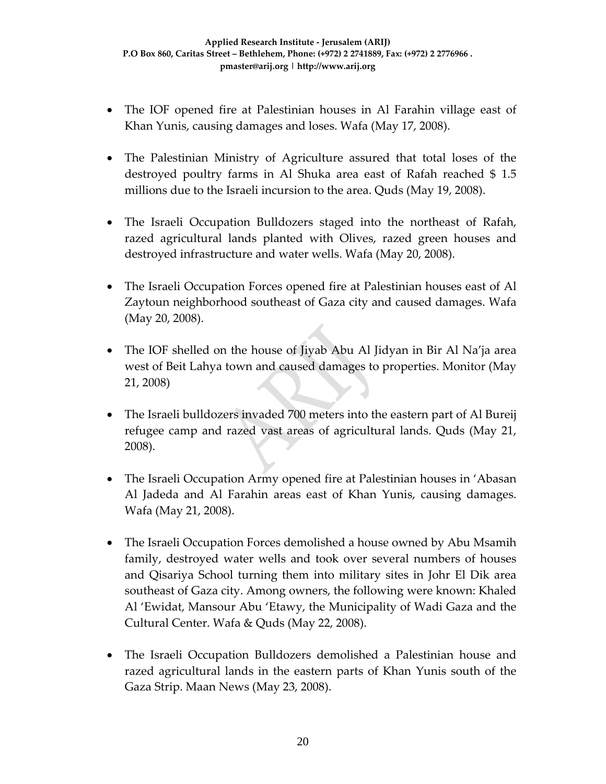- The IOF opened fire at Palestinian houses in Al Farahin village east of Khan Yunis, causing damages and loses. Wafa (May 17, 2008).
- The Palestinian Ministry of Agriculture assured that total loses of the destroyed poultry farms in Al Shuka area east of Rafah reached \$ 1.5 millions due to the Israeli incursion to the area. Quds (May 19, 2008).
- The Israeli Occupation Bulldozers staged into the northeast of Rafah, razed agricultural lands planted with Olives, razed green houses and destroyed infrastructure and water wells. Wafa (May 20, 2008).
- The Israeli Occupation Forces opened fire at Palestinian houses east of Al Zaytoun neighborhood southeast of Gaza city and caused damages. Wafa (May 20, 2008).
- The IOF shelled on the house of Jiyab Abu Al Jidyan in Bir Al Na'ja area west of Beit Lahya town and caused damages to properties. Monitor (May 21, 2008)
- The Israeli bulldozers invaded 700 meters into the eastern part of Al Bureij refugee camp and razed vast areas of agricultural lands. Quds (May 21, 2008).
- The Israeli Occupation Army opened fire at Palestinian houses in 'Abasan Al Jadeda and Al Farahin areas east of Khan Yunis, causing damages. Wafa (May 21, 2008).
- The Israeli Occupation Forces demolished a house owned by Abu Msamih family, destroyed water wells and took over several numbers of houses and Qisariya School turning them into military sites in Johr El Dik area southeast of Gaza city. Among owners, the following were known: Khaled Al 'Ewidat, Mansour Abu 'Etawy, the Municipality of Wadi Gaza and the Cultural Center. Wafa & Quds (May 22, 2008).
- The Israeli Occupation Bulldozers demolished a Palestinian house and razed agricultural lands in the eastern parts of Khan Yunis south of the Gaza Strip. Maan News (May 23, 2008).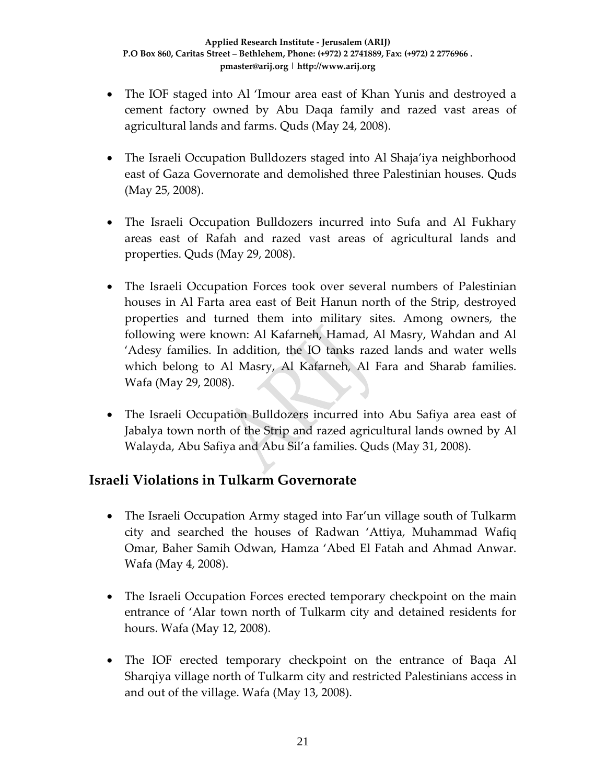- The IOF staged into Al 'Imour area east of Khan Yunis and destroyed a cement factory owned by Abu Daqa family and razed vast areas of agricultural lands and farms. Quds (May 24, 2008).
- The Israeli Occupation Bulldozers staged into Al Shaja'iya neighborhood east of Gaza Governorate and demolished three Palestinian houses. Quds (May 25, 2008).
- The Israeli Occupation Bulldozers incurred into Sufa and Al Fukhary areas east of Rafah and razed vast areas of agricultural lands and properties. Quds (May 29, 2008).
- The Israeli Occupation Forces took over several numbers of Palestinian houses in Al Farta area east of Beit Hanun north of the Strip, destroyed properties and turned them into military sites. Among owners, the following were known: Al Kafarneh, Hamad, Al Masry, Wahdan and Al 'Adesy families. In addition, the IO tanks razed lands and water wells which belong to Al Masry, Al Kafarneh, Al Fara and Sharab families. Wafa (May 29, 2008).
- The Israeli Occupation Bulldozers incurred into Abu Safiya area east of Jabalya town north of the Strip and razed agricultural lands owned by Al Walayda, Abu Safiya and Abu Sil'a families. Quds (May 31, 2008).

### **Israeli Violations in Tulkarm Governorate**

- The Israeli Occupation Army staged into Far'un village south of Tulkarm city and searched the houses of Radwan 'Attiya, Muhammad Wafiq Omar, Baher Samih Odwan, Hamza 'Abed El Fatah and Ahmad Anwar. Wafa (May 4, 2008).
- The Israeli Occupation Forces erected temporary checkpoint on the main entrance of 'Alar town north of Tulkarm city and detained residents for hours. Wafa (May 12, 2008).
- The IOF erected temporary checkpoint on the entrance of Baqa Al Sharqiya village north of Tulkarm city and restricted Palestinians access in and out of the village. Wafa (May 13, 2008).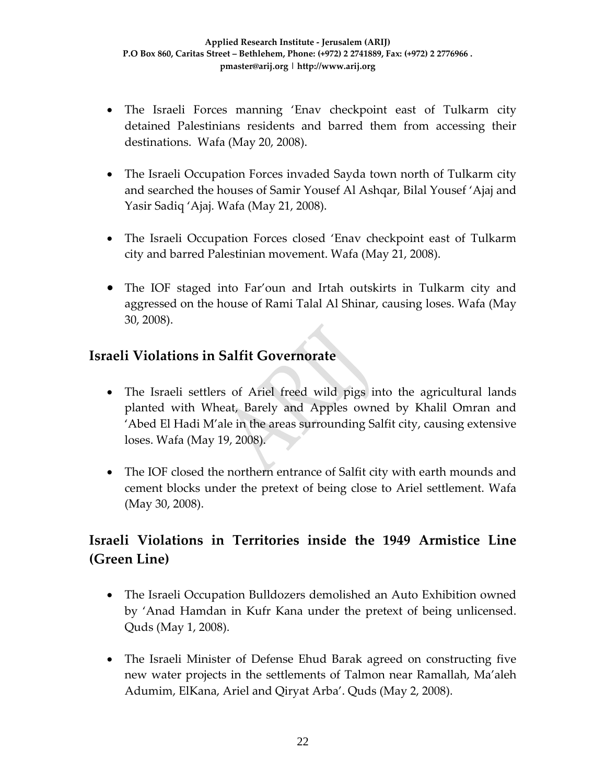- The Israeli Forces manning 'Enav checkpoint east of Tulkarm city detained Palestinians residents and barred them from accessing their destinations. Wafa (May 20, 2008).
- The Israeli Occupation Forces invaded Sayda town north of Tulkarm city and searched the houses of Samir Yousef Al Ashqar, Bilal Yousef 'Ajaj and Yasir Sadiq 'Ajaj. Wafa (May 21, 2008).
- The Israeli Occupation Forces closed 'Enav checkpoint east of Tulkarm city and barred Palestinian movement. Wafa (May 21, 2008).
- The IOF staged into Far'oun and Irtah outskirts in Tulkarm city and aggressed on the house of Rami Talal Al Shinar, causing loses. Wafa (May 30, 2008).

## **Israeli Violations in Salfit Governorate**

- The Israeli settlers of Ariel freed wild pigs into the agricultural lands planted with Wheat, Barely and Apples owned by Khalil Omran and 'Abed El Hadi M'ale in the areas surrounding Salfit city, causing extensive loses. Wafa (May 19, 2008).
- The IOF closed the northern entrance of Salfit city with earth mounds and cement blocks under the pretext of being close to Ariel settlement. Wafa (May 30, 2008).

# **Israeli Violations in Territories inside the 1949 Armistice Line (Green Line)**

- The Israeli Occupation Bulldozers demolished an Auto Exhibition owned by 'Anad Hamdan in Kufr Kana under the pretext of being unlicensed. Quds (May 1, 2008).
- The Israeli Minister of Defense Ehud Barak agreed on constructing five new water projects in the settlements of Talmon near Ramallah, Ma'aleh Adumim, ElKana, Ariel and Qiryat Arba'. Quds (May 2, 2008).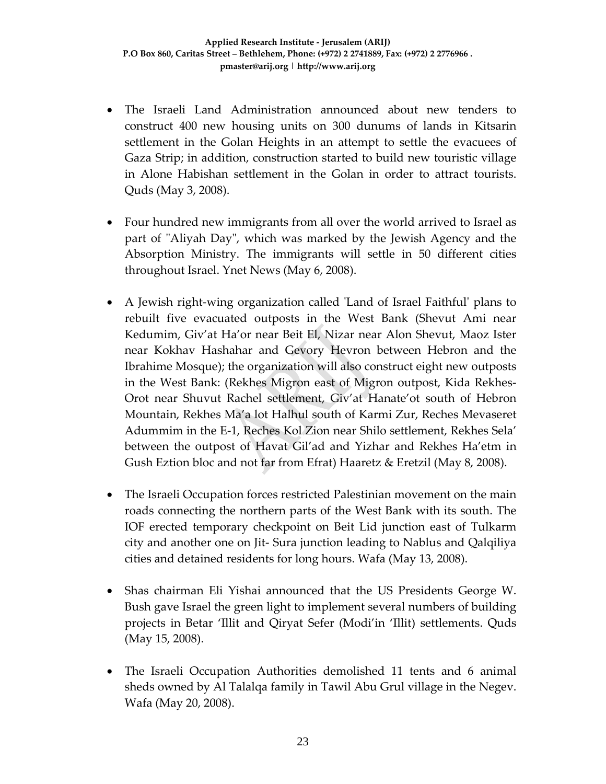- The Israeli Land Administration announced about new tenders to construct 400 new housing units on 300 dunums of lands in Kitsarin settlement in the Golan Heights in an attempt to settle the evacuees of Gaza Strip; in addition, construction started to build new touristic village in Alone Habishan settlement in the Golan in order to attract tourists. Quds (May 3, 2008).
- Four hundred new immigrants from all over the world arrived to Israel as part of "Aliyah Day", which was marked by the Jewish Agency and the Absorption Ministry. The immigrants will settle in 50 different cities throughout Israel. Ynet News (May 6, 2008).
- A Jewish right-wing organization called 'Land of Israel Faithful' plans to rebuilt five evacuated outposts in the West Bank (Shevut Ami near Kedumim, Giv'at Ha'or near Beit El, Nizar near Alon Shevut, Maoz Ister near Kokhav Hashahar and Gevory Hevron between Hebron and the Ibrahime Mosque); the organization will also construct eight new outposts in the West Bank: (Rekhes Migron east of Migron outpost, Kida Rekhes‐ Orot near Shuvut Rachel settlement, Giv'at Hanate'ot south of Hebron Mountain, Rekhes Ma'a lot Halhul south of Karmi Zur, Reches Mevaseret Adummim in the E‐1, Reches Kol Zion near Shilo settlement, Rekhes Sela' between the outpost of Havat Gil'ad and Yizhar and Rekhes Ha'etm in Gush Eztion bloc and not far from Efrat) Haaretz & Eretzil (May 8, 2008).
- The Israeli Occupation forces restricted Palestinian movement on the main roads connecting the northern parts of the West Bank with its south. The IOF erected temporary checkpoint on Beit Lid junction east of Tulkarm city and another one on Jit‐ Sura junction leading to Nablus and Qalqiliya cities and detained residents for long hours. Wafa (May 13, 2008).
- Shas chairman Eli Yishai announced that the US Presidents George W. Bush gave Israel the green light to implement several numbers of building projects in Betar 'Illit and Qiryat Sefer (Modi'in 'Illit) settlements. Quds (May 15, 2008).
- The Israeli Occupation Authorities demolished 11 tents and 6 animal sheds owned by Al Talalqa family in Tawil Abu Grul village in the Negev. Wafa (May 20, 2008).